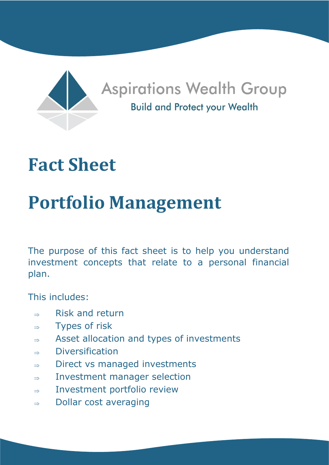

# **Fact Sheet**

# **Portfolio Management**

The purpose of this fact sheet is to help you understand investment concepts that relate to a personal financial plan.

This includes:

- $\Rightarrow$  Risk and return
- $\Rightarrow$  Types of risk
- $\Rightarrow$  Asset allocation and types of investments
- $\Rightarrow$  Diversification
- $\Rightarrow$  Direct vs managed investments
- $\Rightarrow$  Investment manager selection
- $\Rightarrow$  Investment portfolio review
- $\Rightarrow$  Dollar cost averaging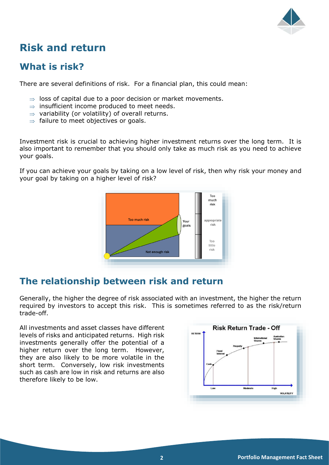

# **Risk and return**

# **What is risk?**

There are several definitions of risk. For a financial plan, this could mean:

- $\Rightarrow$  loss of capital due to a poor decision or market movements.
- $\Rightarrow$  insufficient income produced to meet needs.
- $\Rightarrow$  variability (or volatility) of overall returns.
- $\Rightarrow$  failure to meet objectives or goals.

Investment risk is crucial to achieving higher investment returns over the long term. It is also important to remember that you should only take as much risk as you need to achieve your goals.

If you can achieve your goals by taking on a low level of risk, then why risk your money and your goal by taking on a higher level of risk?



# **The relationship between risk and return**

Generally, the higher the degree of risk associated with an investment, the higher the return required by investors to accept this risk. This is sometimes referred to as the risk/return trade-off.

All investments and asset classes have different levels of risks and anticipated returns. High risk investments generally offer the potential of a higher return over the long term. However, they are also likely to be more volatile in the short term. Conversely, low risk investments such as cash are low in risk and returns are also therefore likely to be low.

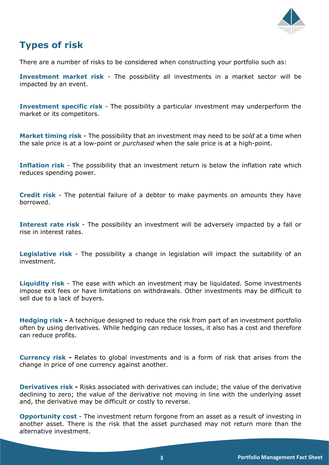

# **Types of risk**

There are a number of risks to be considered when constructing your portfolio such as:

**Investment market risk** - The possibility all investments in a market sector will be impacted by an event.

**Investment specific risk** - The possibility a particular investment may underperform the market or its competitors.

**Market timing risk -** The possibility that an investment may need to be *sold* at a time when the sale price is at a low-point or *purchased* when the sale price is at a high-point.

**Inflation risk** - The possibility that an investment return is below the inflation rate which reduces spending power.

**Credit risk** - The potential failure of a debtor to make payments on amounts they have borrowed.

**Interest rate risk** - The possibility an investment will be adversely impacted by a fall or rise in interest rates.

**Legislative risk** - The possibility a change in legislation will impact the suitability of an investment.

**Liquidity risk** - The ease with which an investment may be liquidated. Some investments impose exit fees or have limitations on withdrawals. Other investments may be difficult to sell due to a lack of buyers.

**Hedging risk -** A technique designed to reduce the risk from part of an investment portfolio often by using derivatives. While hedging can reduce losses, it also has a cost and therefore can reduce profits.

**Currency risk -** Relates to global investments and is a form of risk that arises from the change in price of one currency against another.

**Derivatives risk -** Risks associated with derivatives can include; the value of the derivative declining to zero; the value of the derivative not moving in line with the underlying asset and, the derivative may be difficult or costly to reverse.

**Opportunity cost** - The investment return forgone from an asset as a result of investing in another asset. There is the risk that the asset purchased may not return more than the alternative investment.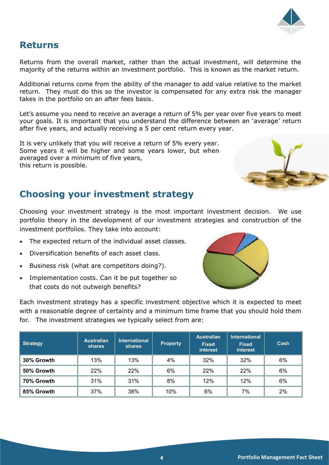### **Returns**

Returns from the overall market, rather than the actual investment, will determine the majority of the returns within an investment portfolio. This is known as the market return.

Additional returns come from the ability of the manager to add value relative to the market return. They must do this so the investor is compensated for any extra risk the manager takes in the portfolio on an after fees basis.

Let's assume you need to receive an average a return of 5% per year over five years to meet your goals. It is important that you understand the difference between an 'average' return after five years, and actually receiving a 5 per cent return every year.

It is very unlikely that you will receive a return of 5% every year. Some years it will be higher and some years lower, but when averaged over a minimum of five years, this return is possible.

### **Choosing your investment strategy**

Choosing your investment strategy is the most important investment decision. We use portfolio theory in the development of our investment strategies and construction of the investment portfolios. They take into account:

- The expected return of the individual asset classes.
- Diversification benefits of each asset class.
- Business risk (what are competitors doing?).
- Implementation costs. Can it be put together so that costs do not outweigh benefits?

Each investment strategy has a specific investment objective which it is expected to meet with a reasonable degree of certainty and a minimum time frame that you should hold them for. The investment strategies we typically select from are:

| <b>Strategy</b> | <b>Australian</b><br><b>shares</b> | <b>International</b><br><b>shares</b> | <b>Property</b> | <b>Australian</b><br><b>Fixed</b><br><b>interest</b> | <b>International</b><br><b>Fixed</b><br>interest | Cash  |
|-----------------|------------------------------------|---------------------------------------|-----------------|------------------------------------------------------|--------------------------------------------------|-------|
| 30% Growth      | 13%                                | 13%                                   | 4%              | 32%                                                  | 32%                                              | 6%    |
| 50% Growth      | 22%                                | 22%                                   | 6%              | 22%                                                  | 22%                                              | 6%    |
| 70% Growth      | 31%                                | 31%                                   | 8%              | 12%                                                  | 12%                                              | 6%    |
| 85% Growth      | 37%                                | 38%                                   | 10%             | 6%                                                   | 7%                                               | $2\%$ |





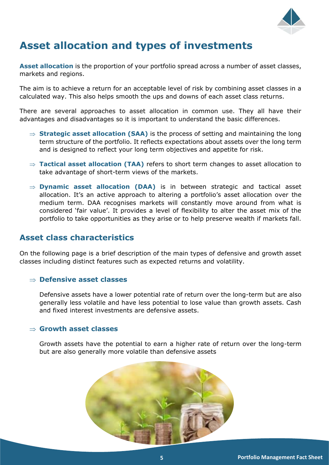

# **Asset allocation and types of investments**

**Asset allocation** is the proportion of your portfolio spread across a number of asset classes, markets and regions.

The aim is to achieve a return for an acceptable level of risk by combining asset classes in a calculated way. This also helps smooth the ups and downs of each asset class returns.

There are several approaches to asset allocation in common use. They all have their advantages and disadvantages so it is important to understand the basic differences.

- $\Rightarrow$  **Strategic asset allocation (SAA)** is the process of setting and maintaining the long term structure of the portfolio. It reflects expectations about assets over the long term and is designed to reflect your long term objectives and appetite for risk.
- **Tactical asset allocation (TAA)** refers to short term changes to asset allocation to take advantage of short-term views of the markets.
- $\Rightarrow$  **Dynamic asset allocation (DAA)** is in between strategic and tactical asset allocation. It's an active approach to altering a portfolio's asset allocation over the medium term. DAA recognises markets will constantly move around from what is considered 'fair value'. It provides a level of flexibility to alter the asset mix of the portfolio to take opportunities as they arise or to help preserve wealth if markets fall.

### **Asset class characteristics**

On the following page is a brief description of the main types of defensive and growth asset classes including distinct features such as expected returns and volatility.

#### **Defensive asset classes**

Defensive assets have a lower potential rate of return over the long-term but are also generally less volatile and have less potential to lose value than growth assets. Cash and fixed interest investments are defensive assets.

#### **Growth asset classes**

Growth assets have the potential to earn a higher rate of return over the long-term but are also generally more volatile than defensive assets

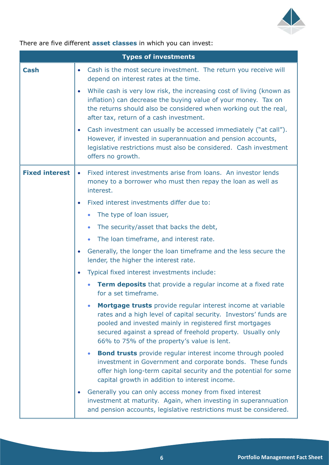

There are five different **asset classes** in which you can invest:

|                       | <b>Types of investments</b>                                                                                                                                                                                                                                                                                            |  |  |  |
|-----------------------|------------------------------------------------------------------------------------------------------------------------------------------------------------------------------------------------------------------------------------------------------------------------------------------------------------------------|--|--|--|
| <b>Cash</b>           | Cash is the most secure investment. The return you receive will<br>$\bullet$<br>depend on interest rates at the time.                                                                                                                                                                                                  |  |  |  |
|                       | While cash is very low risk, the increasing cost of living (known as<br>inflation) can decrease the buying value of your money. Tax on<br>the returns should also be considered when working out the real,<br>after tax, return of a cash investment.                                                                  |  |  |  |
|                       | Cash investment can usually be accessed immediately ("at call").<br>$\bullet$<br>However, if invested in superannuation and pension accounts,<br>legislative restrictions must also be considered. Cash investment<br>offers no growth.                                                                                |  |  |  |
| <b>Fixed interest</b> | Fixed interest investments arise from loans. An investor lends<br>$\bullet$<br>money to a borrower who must then repay the loan as well as<br>interest.                                                                                                                                                                |  |  |  |
|                       | Fixed interest investments differ due to:<br>$\bullet$                                                                                                                                                                                                                                                                 |  |  |  |
|                       | The type of loan issuer,                                                                                                                                                                                                                                                                                               |  |  |  |
|                       | The security/asset that backs the debt,                                                                                                                                                                                                                                                                                |  |  |  |
|                       | The loan timeframe, and interest rate.<br>$\bullet$                                                                                                                                                                                                                                                                    |  |  |  |
|                       | Generally, the longer the loan timeframe and the less secure the<br>$\bullet$<br>lender, the higher the interest rate.                                                                                                                                                                                                 |  |  |  |
|                       | Typical fixed interest investments include:<br>$\bullet$                                                                                                                                                                                                                                                               |  |  |  |
|                       | <b>Term deposits</b> that provide a regular income at a fixed rate<br>for a set timeframe.                                                                                                                                                                                                                             |  |  |  |
|                       | Mortgage trusts provide regular interest income at variable<br>$\bullet$<br>rates and a high level of capital security. Investors' funds are<br>pooled and invested mainly in registered first mortgages<br>secured against a spread of freehold property. Usually only<br>66% to 75% of the property's value is lent. |  |  |  |
|                       | <b>Bond trusts</b> provide regular interest income through pooled<br>$\bullet$<br>investment in Government and corporate bonds. These funds<br>offer high long-term capital security and the potential for some<br>capital growth in addition to interest income.                                                      |  |  |  |
|                       | Generally you can only access money from fixed interest<br>investment at maturity. Again, when investing in superannuation<br>and pension accounts, legislative restrictions must be considered.                                                                                                                       |  |  |  |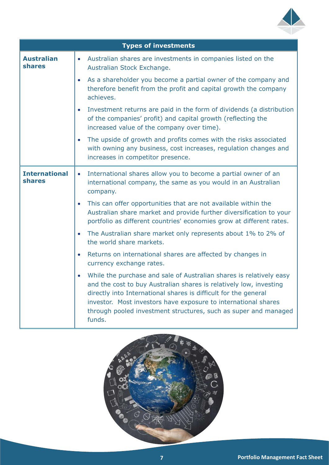

| <b>Types of investments</b>        |                                                                                                                                                                                                                                                                                                                                                                          |  |  |  |
|------------------------------------|--------------------------------------------------------------------------------------------------------------------------------------------------------------------------------------------------------------------------------------------------------------------------------------------------------------------------------------------------------------------------|--|--|--|
| <b>Australian</b><br><b>shares</b> | Australian shares are investments in companies listed on the<br>$\bullet$<br>Australian Stock Exchange.                                                                                                                                                                                                                                                                  |  |  |  |
|                                    | As a shareholder you become a partial owner of the company and<br>$\bullet$<br>therefore benefit from the profit and capital growth the company<br>achieves.                                                                                                                                                                                                             |  |  |  |
|                                    | Investment returns are paid in the form of dividends (a distribution<br>$\bullet$<br>of the companies' profit) and capital growth (reflecting the<br>increased value of the company over time).                                                                                                                                                                          |  |  |  |
|                                    | The upside of growth and profits comes with the risks associated<br>$\bullet$<br>with owning any business, cost increases, regulation changes and<br>increases in competitor presence.                                                                                                                                                                                   |  |  |  |
| <b>International</b><br>shares     | International shares allow you to become a partial owner of an<br>$\bullet$<br>international company, the same as you would in an Australian<br>company.                                                                                                                                                                                                                 |  |  |  |
|                                    | This can offer opportunities that are not available within the<br>Australian share market and provide further diversification to your<br>portfolio as different countries' economies grow at different rates.                                                                                                                                                            |  |  |  |
|                                    | The Australian share market only represents about 1% to 2% of<br>$\bullet$<br>the world share markets.                                                                                                                                                                                                                                                                   |  |  |  |
|                                    | Returns on international shares are affected by changes in<br>$\bullet$<br>currency exchange rates.                                                                                                                                                                                                                                                                      |  |  |  |
|                                    | While the purchase and sale of Australian shares is relatively easy<br>$\bullet$<br>and the cost to buy Australian shares is relatively low, investing<br>directly into International shares is difficult for the general<br>investor. Most investors have exposure to international shares<br>through pooled investment structures, such as super and managed<br>funds. |  |  |  |

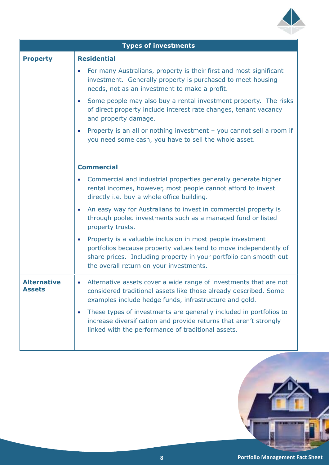

|                                     | <b>Types of investments</b>                                                                                                                                                                                                                    |  |  |  |
|-------------------------------------|------------------------------------------------------------------------------------------------------------------------------------------------------------------------------------------------------------------------------------------------|--|--|--|
| <b>Property</b>                     | <b>Residential</b>                                                                                                                                                                                                                             |  |  |  |
|                                     | For many Australians, property is their first and most significant<br>investment. Generally property is purchased to meet housing<br>needs, not as an investment to make a profit.                                                             |  |  |  |
|                                     | Some people may also buy a rental investment property. The risks<br>of direct property include interest rate changes, tenant vacancy<br>and property damage.                                                                                   |  |  |  |
|                                     | Property is an all or nothing investment - you cannot sell a room if<br>you need some cash, you have to sell the whole asset.                                                                                                                  |  |  |  |
|                                     | <b>Commercial</b>                                                                                                                                                                                                                              |  |  |  |
|                                     | Commercial and industrial properties generally generate higher<br>rental incomes, however, most people cannot afford to invest<br>directly i.e. buy a whole office building.                                                                   |  |  |  |
|                                     | An easy way for Australians to invest in commercial property is<br>through pooled investments such as a managed fund or listed<br>property trusts.                                                                                             |  |  |  |
|                                     | Property is a valuable inclusion in most people investment<br>portfolios because property values tend to move independently of<br>share prices. Including property in your portfolio can smooth out<br>the overall return on your investments. |  |  |  |
| <b>Alternative</b><br><b>Assets</b> | Alternative assets cover a wide range of investments that are not<br>considered traditional assets like those already described. Some<br>examples include hedge funds, infrastructure and gold.                                                |  |  |  |
|                                     | These types of investments are generally included in portfolios to<br>increase diversification and provide returns that aren't strongly<br>linked with the performance of traditional assets.                                                  |  |  |  |
|                                     |                                                                                                                                                                                                                                                |  |  |  |

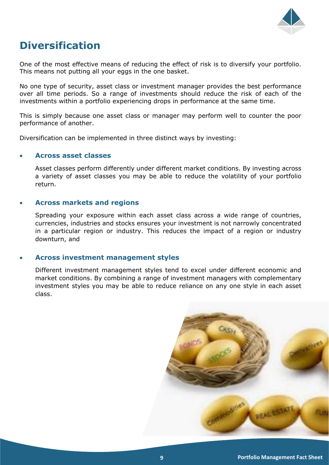

# **Diversification**

One of the most effective means of reducing the effect of risk is to diversify your portfolio. This means not putting all your eggs in the one basket.

No one type of security, asset class or investment manager provides the best performance over all time periods. So a range of investments should reduce the risk of each of the investments within a portfolio experiencing drops in performance at the same time.

This is simply because one asset class or manager may perform well to counter the poor performance of another.

Diversification can be implemented in three distinct ways by investing:

#### • **Across asset classes**

Asset classes perform differently under different market conditions. By investing across a variety of asset classes you may be able to reduce the volatility of your portfolio return.

#### • **Across markets and regions**

Spreading your exposure within each asset class across a wide range of countries, currencies, industries and stocks ensures your investment is not narrowly concentrated in a particular region or industry. This reduces the impact of a region or industry downturn, and

#### • **Across investment management styles**

Different investment management styles tend to excel under different economic and market conditions. By combining a range of investment managers with complementary investment styles you may be able to reduce reliance on any one style in each asset class.

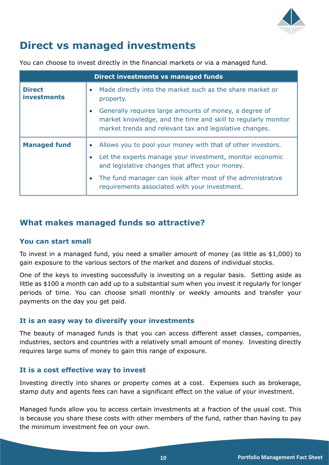

# **Direct vs managed investments**

You can choose to invest directly in the financial markets or via a managed fund.

| Direct investments vs managed funds |                                                                                                                                                                                    |  |  |  |
|-------------------------------------|------------------------------------------------------------------------------------------------------------------------------------------------------------------------------------|--|--|--|
| <b>Direct</b><br><b>investments</b> | Made directly into the market such as the share market or<br>property.                                                                                                             |  |  |  |
|                                     | Generally requires large amounts of money, a degree of<br>market knowledge, and the time and skill to regularly monitor<br>market trends and relevant tax and legislative changes. |  |  |  |
| <b>Managed fund</b>                 | Allows you to pool your money with that of other investors.                                                                                                                        |  |  |  |
|                                     | Let the experts manage your investment, monitor economic<br>and legislative changes that affect your money.                                                                        |  |  |  |
|                                     | The fund manager can look after most of the administrative<br>requirements associated with your investment.                                                                        |  |  |  |

### **What makes managed funds so attractive?**

#### **You can start small**

To invest in a managed fund, you need a smaller amount of money (as little as \$1,000) to gain exposure to the various sectors of the market and dozens of individual stocks.

One of the keys to investing successfully is investing on a regular basis. Setting aside as little as \$100 a month can add up to a substantial sum when you invest it regularly for longer periods of time. You can choose small monthly or weekly amounts and transfer your payments on the day you get paid.

#### **It is an easy way to diversify your investments**

The beauty of managed funds is that you can access different asset classes, companies, industries, sectors and countries with a relatively small amount of money. Investing directly requires large sums of money to gain this range of exposure.

#### **It is a cost effective way to invest**

Investing directly into shares or property comes at a cost. Expenses such as brokerage, stamp duty and agents fees can have a significant effect on the value of your investment.

Managed funds allow you to access certain investments at a fraction of the usual cost. This is because you share these costs with other members of the fund, rather than having to pay the minimum investment fee on your own.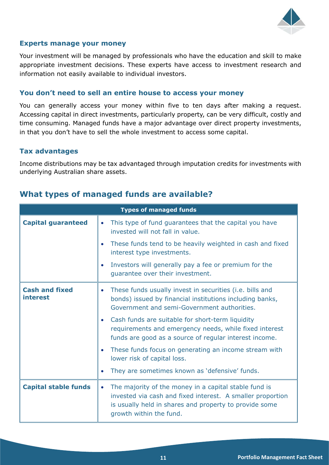

#### **Experts manage your money**

Your investment will be managed by professionals who have the education and skill to make appropriate investment decisions. These experts have access to investment research and information not easily available to individual investors.

#### **You don't need to sell an entire house to access your money**

You can generally access your money within five to ten days after making a request. Accessing capital in direct investments, particularly property, can be very difficult, costly and time consuming. Managed funds have a major advantage over direct property investments, in that you don't have to sell the whole investment to access some capital.

#### **Tax advantages**

Income distributions may be tax advantaged through imputation credits for investments with underlying Australian share assets.

| <b>Types of managed funds</b>            |                                                                                                                                                                                                          |  |  |  |
|------------------------------------------|----------------------------------------------------------------------------------------------------------------------------------------------------------------------------------------------------------|--|--|--|
| <b>Capital guaranteed</b>                | This type of fund guarantees that the capital you have<br>invested will not fall in value.                                                                                                               |  |  |  |
|                                          | These funds tend to be heavily weighted in cash and fixed<br>$\bullet$<br>interest type investments.                                                                                                     |  |  |  |
|                                          | Investors will generally pay a fee or premium for the<br>$\bullet$<br>guarantee over their investment.                                                                                                   |  |  |  |
| <b>Cash and fixed</b><br><i>interest</i> | These funds usually invest in securities (i.e. bills and<br>$\bullet$<br>bonds) issued by financial institutions including banks,<br>Government and semi-Government authorities.                         |  |  |  |
|                                          | Cash funds are suitable for short-term liquidity<br>$\bullet$<br>requirements and emergency needs, while fixed interest<br>funds are good as a source of regular interest income.                        |  |  |  |
|                                          | These funds focus on generating an income stream with<br>$\bullet$<br>lower risk of capital loss.                                                                                                        |  |  |  |
|                                          | They are sometimes known as 'defensive' funds.                                                                                                                                                           |  |  |  |
| <b>Capital stable funds</b>              | The majority of the money in a capital stable fund is<br>invested via cash and fixed interest. A smaller proportion<br>is usually held in shares and property to provide some<br>growth within the fund. |  |  |  |

#### **What types of managed funds are available?**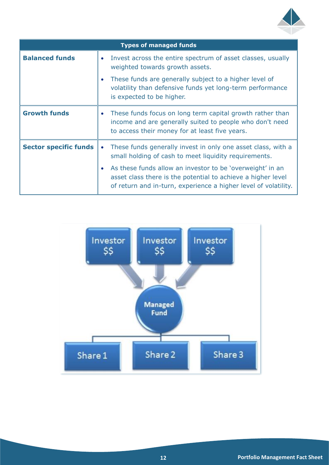

| <b>Types of managed funds</b> |                                                                                                                                                                                                           |  |  |  |
|-------------------------------|-----------------------------------------------------------------------------------------------------------------------------------------------------------------------------------------------------------|--|--|--|
| <b>Balanced funds</b>         | Invest across the entire spectrum of asset classes, usually<br>weighted towards growth assets.                                                                                                            |  |  |  |
|                               | These funds are generally subject to a higher level of<br>$\bullet$<br>volatility than defensive funds yet long-term performance<br>is expected to be higher.                                             |  |  |  |
| <b>Growth funds</b>           | These funds focus on long term capital growth rather than<br>$\bullet$<br>income and are generally suited to people who don't need<br>to access their money for at least five years.                      |  |  |  |
| <b>Sector specific funds</b>  | These funds generally invest in only one asset class, with a<br>$\bullet$<br>small holding of cash to meet liquidity requirements.                                                                        |  |  |  |
|                               | As these funds allow an investor to be 'overweight' in an<br>$\bullet$<br>asset class there is the potential to achieve a higher level<br>of return and in-turn, experience a higher level of volatility. |  |  |  |

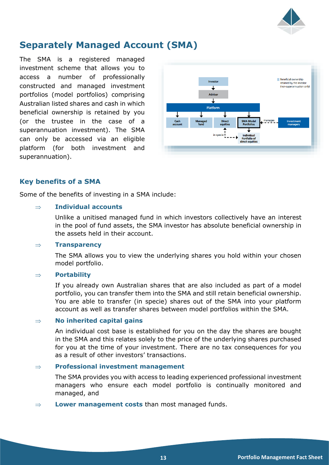

# **Separately Managed Account (SMA)**

The SMA is a registered managed investment scheme that allows you to access a number of professionally constructed and managed investment portfolios (model portfolios) comprising Australian listed shares and cash in which beneficial ownership is retained by you (or the trustee in the case of a superannuation investment). The SMA can only be accessed via an eligible platform (for both investment and superannuation).



#### **Key benefits of a SMA**

Some of the benefits of investing in a SMA include:

#### **Individual accounts**

Unlike a unitised managed fund in which investors collectively have an interest in the pool of fund assets, the SMA investor has absolute beneficial ownership in the assets held in their account.

#### **Transparency**

The SMA allows you to view the underlying shares you hold within your chosen model portfolio.

#### **Portability**

If you already own Australian shares that are also included as part of a model portfolio, you can transfer them into the SMA and still retain beneficial ownership. You are able to transfer (in specie) shares out of the SMA into your platform account as well as transfer shares between model portfolios within the SMA.

#### **No inherited capital gains**

An individual cost base is established for you on the day the shares are bought in the SMA and this relates solely to the price of the underlying shares purchased for you at the time of your investment. There are no tax consequences for you as a result of other investors' transactions.

#### **Professional investment management**

The SMA provides you with access to leading experienced professional investment managers who ensure each model portfolio is continually monitored and managed, and

**Lower management costs** than most managed funds.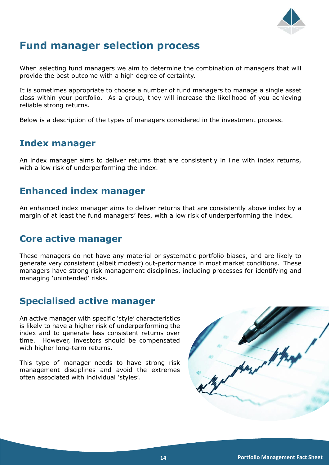

# **Fund manager selection process**

When selecting fund managers we aim to determine the combination of managers that will provide the best outcome with a high degree of certainty.

It is sometimes appropriate to choose a number of fund managers to manage a single asset class within your portfolio. As a group, they will increase the likelihood of you achieving reliable strong returns.

Below is a description of the types of managers considered in the investment process.

### **Index manager**

An index manager aims to deliver returns that are consistently in line with index returns, with a low risk of underperforming the index.

## **Enhanced index manager**

An enhanced index manager aims to deliver returns that are consistently above index by a margin of at least the fund managers' fees, with a low risk of underperforming the index.

### **Core active manager**

These managers do not have any material or systematic portfolio biases, and are likely to generate very consistent (albeit modest) out-performance in most market conditions. These managers have strong risk management disciplines, including processes for identifying and managing 'unintended' risks.

# **Specialised active manager**

An active manager with specific 'style' characteristics is likely to have a higher risk of underperforming the index and to generate less consistent returns over time. However, investors should be compensated with higher long-term returns.

This type of manager needs to have strong risk management disciplines and avoid the extremes often associated with individual 'styles'.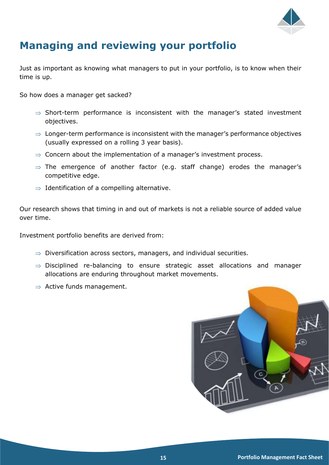

# **Managing and reviewing your portfolio**

Just as important as knowing what managers to put in your portfolio, is to know when their time is up.

So how does a manager get sacked?

- $\Rightarrow$  Short-term performance is inconsistent with the manager's stated investment objectives.
- $\Rightarrow$  Longer-term performance is inconsistent with the manager's performance objectives (usually expressed on a rolling 3 year basis).
- $\Rightarrow$  Concern about the implementation of a manager's investment process.
- $\Rightarrow$  The emergence of another factor (e.g. staff change) erodes the manager's competitive edge.
- $\Rightarrow$  Identification of a compelling alternative.

Our research shows that timing in and out of markets is not a reliable source of added value over time.

Investment portfolio benefits are derived from:

- $\Rightarrow$  Diversification across sectors, managers, and individual securities.
- $\Rightarrow$  Disciplined re-balancing to ensure strategic asset allocations and manager allocations are enduring throughout market movements.
- $\Rightarrow$  Active funds management.

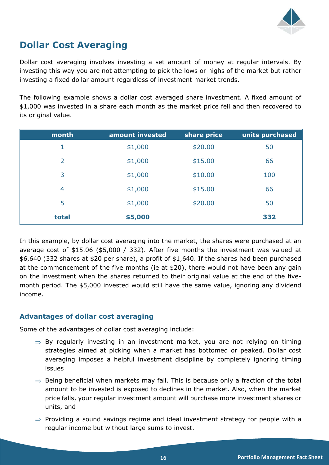

# **Dollar Cost Averaging**

Dollar cost averaging involves investing a set amount of money at regular intervals. By investing this way you are not attempting to pick the lows or highs of the market but rather investing a fixed dollar amount regardless of investment market trends.

The following example shows a dollar cost averaged share investment. A fixed amount of \$1,000 was invested in a share each month as the market price fell and then recovered to its original value.

| month          | amount invested | share price | units purchased |
|----------------|-----------------|-------------|-----------------|
| 1              | \$1,000         | \$20.00     | 50              |
| $\overline{2}$ | \$1,000         | \$15.00     | 66              |
| 3              | \$1,000         | \$10.00     | 100             |
| $\overline{4}$ | \$1,000         | \$15.00     | 66              |
| 5              | \$1,000         | \$20.00     | 50              |
| total          | \$5,000         |             | 332             |

In this example, by dollar cost averaging into the market, the shares were purchased at an average cost of \$15.06 (\$5,000 / 332). After five months the investment was valued at \$6,640 (332 shares at \$20 per share), a profit of \$1,640. If the shares had been purchased at the commencement of the five months (ie at \$20), there would not have been any gain on the investment when the shares returned to their original value at the end of the fivemonth period. The \$5,000 invested would still have the same value, ignoring any dividend income.

#### **Advantages of dollar cost averaging**

Some of the advantages of dollar cost averaging include:

- $\Rightarrow$  By regularly investing in an investment market, you are not relying on timing strategies aimed at picking when a market has bottomed or peaked. Dollar cost averaging imposes a helpful investment discipline by completely ignoring timing issues
- $\Rightarrow$  Being beneficial when markets may fall. This is because only a fraction of the total amount to be invested is exposed to declines in the market. Also, when the market price falls, your regular investment amount will purchase more investment shares or units, and
- $\Rightarrow$  Providing a sound savings regime and ideal investment strategy for people with a regular income but without large sums to invest.